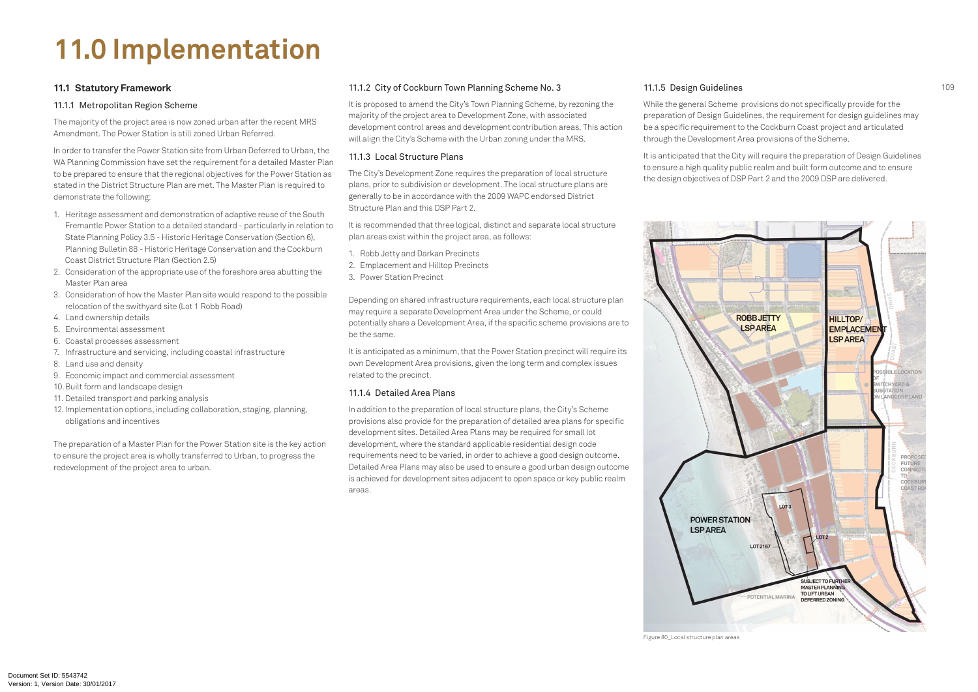## **11.0 Implementation**

#### **11.1 Statutory Framework**

#### 11.1.1 Metropolitan Region Scheme

The majority of the project area is now zoned urban after the recent MRS Amendment. The Power Station is still zoned Urban Referred.

In order to transfer the Power Station site from Urban Deferred to Urban, the WA Planning Commission have set the requirement for a detailed Master Plan to be prepared to ensure that the regional objectives for the Power Station as stated in the District Structure Plan are met. The Master Plan is required to demonstrate the following:

- 1. Heritage assessment and demonstration of adaptive reuse of the South Fremantle Power Station to a detailed standard - particularly in relation to State Planning Policy 3.5 - Historic Heritage Conservation (Section 6), Planning Bulletin 88 - Historic Heritage Conservation and the Cockburn Coast District Structure Plan (Section 2.5)
- 2. Consideration of the appropriate use of the foreshore area abutting the Master Plan area
- 3. Consideration of how the Master Plan site would respond to the possible relocation of the swithyard site (Lot 1 Robb Road)
- 4. Land ownership details
- 5. Environmental assessment
- 6. Coastal processes assessment
- 7. Infrastructure and servicing, including coastal infrastructure
- 8. Land use and density
- 9. Economic impact and commercial assessment
- 10.Built form and landscape design
- 11. Detailed transport and parking analysis
- 12. Implementation options, including collaboration, staging, planning, obligations and incentives

The preparation of a Master Plan for the Power Station site is the key action to ensure the project area is wholly transferred to Urban, to progress the redevelopment of the project area to urban.

#### 11.1.2 City of Cockburn Town Planning Scheme No. 3

It is proposed to amend the City's Town Planning Scheme, by rezoning the majority of the project area to Development Zone, with associated development control areas and development contribution areas. This action will align the City's Scheme with the Urban zoning under the MRS.

#### 11.1.3 Local Structure Plans

The City's Development Zone requires the preparation of local structure plans, prior to subdivision or development. The local structure plans are generally to be in accordance with the 2009 WAPC endorsed District Structure Plan and this DSP Part 2.

It is recommended that three logical, distinct and separate local structure plan areas exist within the project area, as follows:

- 1. Robb Jetty and Darkan Precincts
- 2. Emplacement and Hilltop Precincts
- 3. Power Station Precinct

Depending on shared infrastructure requirements, each local structure plan may require a separate Development Area under the Scheme, or could potentially share a Development Area, if the specific scheme provisions are to be the same.

It is anticipated as a minimum, that the Power Station precinct will require its own Development Area provisions, given the long term and complex issues related to the precinct.

#### 11.1.4 Detailed Area Plans

In addition to the preparation of local structure plans, the City's Scheme provisions also provide for the preparation of detailed area plans for specific development sites. Detailed Area Plans may be required for small lot development, where the standard applicable residential design code requirements need to be varied, in order to achieve a good design outcome. Detailed Area Plans may also be used to ensure a good urban design outcome is achieved for development sites adjacent to open space or key public realm areas.

#### 11.1.5 Design Guidelines

While the general Scheme provisions do not specifically provide for the preparation of Design Guidelines, the requirement for design guidelines may be a specific requirement to the Cockburn Coast project and articulated through the Development Area provisions of the Scheme.

It is anticipated that the City will require the preparation of Design Guidelines to ensure a high quality public realm and built form outcome and to ensure the design objectives of DSP Part 2 and the 2009 DSP are delivered.



Figure 80\_Local structure plan areas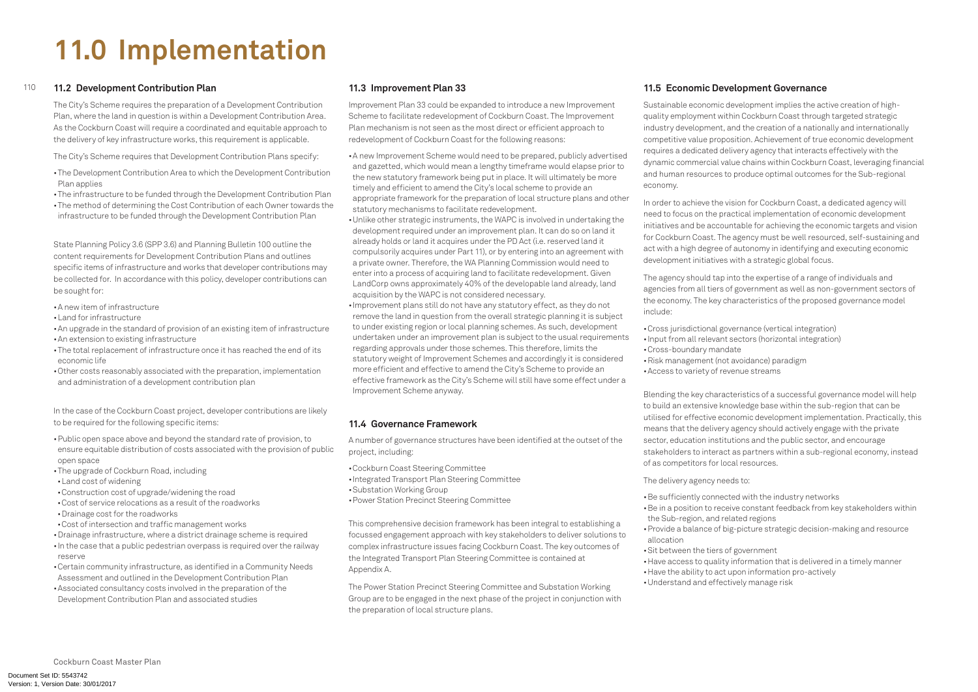# **11.0 Implementation**

#### 110 **11.2 Development Contribution Plan**

The City's Scheme requires the preparation of a Development Contribution Plan, where the land in question is within a Development Contribution Area. As the Cockburn Coast will require a coordinated and equitable approach to the delivery of key infrastructure works, this requirement is applicable.

- The Development Contribution Area to which the Development Contribution Plan applies
- The infrastructure to be funded through the Development Contribution Plan
- The method of determining the Cost Contribution of each Owner towards the infrastructure to be funded through the Development Contribution Plan

The City's Scheme requires that Development Contribution Plans specify:

State Planning Policy 3.6 (SPP 3.6) and Planning Bulletin 100 outline the content requirements for Development Contribution Plans and outlines specific items of infrastructure and works that developer contributions may be collected for. In accordance with this policy, developer contributions can be sought for:

- Public open space above and beyond the standard rate of provision, to ensure equitable distribution of costs associated with the provision of public open space
- The upgrade of Cockburn Road, including
- • Land cost of widening
- • Construction cost of upgrade/widening the road
- • Cost of service relocations as a result of the roadworks
- • Drainage cost for the roadworks
- • Cost of intersection and traffic management works
- • Drainage infrastructure, where a district drainage scheme is required
- In the case that a public pedestrian overpass is required over the railway reserve
- • Certain community infrastructure, as identified in a Community Needs Assessment and outlined in the Development Contribution Plan
- • Associated consultancy costs involved in the preparation of the Development Contribution Plan and associated studies
- • A new item of infrastructure
- • Land for infrastructure
- An upgrade in the standard of provision of an existing item of infrastructure • An extension to existing infrastructure
- The total replacement of infrastructure once it has reached the end of its economic life
- • Other costs reasonably associated with the preparation, implementation and administration of a development contribution plan

In the case of the Cockburn Coast project, developer contributions are likely to be required for the following specific items:

- • Cockburn Coast Steering Committee
- • Integrated Transport Plan Steering Committee
- • Substation Working Group
- Power Station Precinct Steering Committee

## **11.3 Improvement Plan 33**

Improvement Plan 33 could be expanded to introduce a new Improvement Scheme to facilitate redevelopment of Cockburn Coast. The Improvement Plan mechanism is not seen as the most direct or efficient approach to redevelopment of Cockburn Coast for the following reasons:

> • Cross jurisdictional governance (vertical integration) • Input from all relevant sectors (horizontal integration) • Cross-boundary mandate • Risk management (not avoidance) paradigm

- • A new Improvement Scheme would need to be prepared, publicly advertised and gazetted, which would mean a lengthy timeframe would elapse prior to the new statutory framework being put in place. It will ultimately be more timely and efficient to amend the City's local scheme to provide an appropriate framework for the preparation of local structure plans and other statutory mechanisms to facilitate redevelopment.
- • Unlike other strategic instruments, the WAPC is involved in undertaking the development required under an improvement plan. It can do so on land it already holds or land it acquires under the PD Act (i.e. reserved land it compulsorily acquires under Part 11), or by entering into an agreement with a private owner. Therefore, the WA Planning Commission would need to enter into a process of acquiring land to facilitate redevelopment. Given LandCorp owns approximately 40% of the developable land already, land acquisition by the WAPC is not considered necessary.
- Improvement plans still do not have any statutory effect, as they do not remove the land in question from the overall strategic planning it is subject to under existing region or local planning schemes. As such, development undertaken under an improvement plan is subject to the usual requirements regarding approvals under those schemes. This therefore, limits the statutory weight of Improvement Schemes and accordingly it is considered more efficient and effective to amend the City's Scheme to provide an effective framework as the City's Scheme will still have some effect under a Improvement Scheme anyway.

- Be sufficiently connected with the industry networks
- Be in a position to receive constant feedback from key stakeholders within the Sub-region, and related regions
- Provide a balance of big-picture strategic decision-making and resource allocation
- • Sit between the tiers of government
- Have access to quality information that is delivered in a timely manner • Have the ability to act upon information pro-actively
- 
- • Understand and effectively manage risk

### **11.4 Governance Framework**

A number of governance structures have been identified at the outset of the project, including:

This comprehensive decision framework has been integral to establishing a focussed engagement approach with key stakeholders to deliver solutions to complex infrastructure issues facing Cockburn Coast. The key outcomes of the Integrated Transport Plan Steering Committee is contained at Appendix A.

The Power Station Precinct Steering Committee and Substation Working Group are to be engaged in the next phase of the project in conjunction with the preparation of local structure plans.

## **11.5 Economic Development Governance**

Sustainable economic development implies the active creation of highquality employment within Cockburn Coast through targeted strategic industry development, and the creation of a nationally and internationally competitive value proposition. Achievement of true economic development requires a dedicated delivery agency that interacts effectively with the dynamic commercial value chains within Cockburn Coast, leveraging financial and human resources to produce optimal outcomes for the Sub-regional economy.

In order to achieve the vision for Cockburn Coast, a dedicated agency will need to focus on the practical implementation of economic development initiatives and be accountable for achieving the economic targets and vision for Cockburn Coast. The agency must be well resourced, self-sustaining and act with a high degree of autonomy in identifying and executing economic development initiatives with a strategic global focus.

The agency should tap into the expertise of a range of individuals and agencies from all tiers of government as well as non-government sectors of the economy. The key characteristics of the proposed governance model include:

- 
- 
- • Access to variety of revenue streams

Blending the key characteristics of a successful governance model will help to build an extensive knowledge base within the sub-region that can be utilised for effective economic development implementation. Practically, this means that the delivery agency should actively engage with the private sector, education institutions and the public sector, and encourage stakeholders to interact as partners within a sub-regional economy, instead of as competitors for local resources.

The delivery agency needs to: